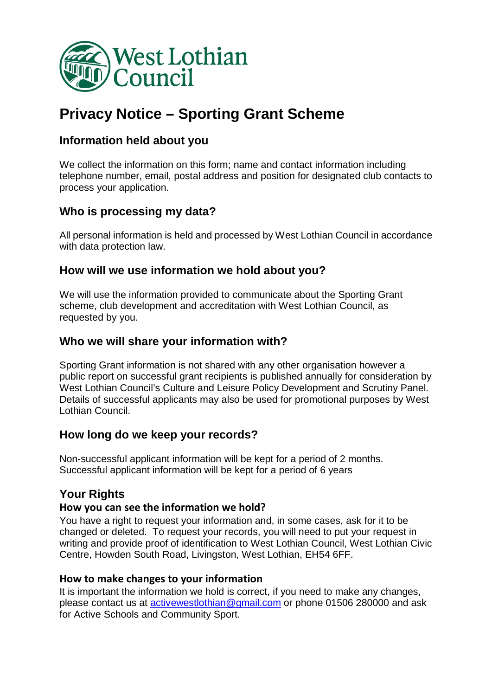

# **Privacy Notice – Sporting Grant Scheme**

## **Information held about you**

We collect the information on this form; name and contact information including telephone number, email, postal address and position for designated club contacts to process your application.

# **Who is processing my data?**

All personal information is held and processed by West Lothian Council in accordance with data protection law.

# **How will we use information we hold about you?**

We will use the information provided to communicate about the Sporting Grant scheme, club development and accreditation with West Lothian Council, as requested by you.

### **Who we will share your information with?**

Sporting Grant information is not shared with any other organisation however a public report on successful grant recipients is published annually for consideration by West Lothian Council's Culture and Leisure Policy Development and Scrutiny Panel. Details of successful applicants may also be used for promotional purposes by West Lothian Council.

#### **How long do we keep your records?**

Non-successful applicant information will be kept for a period of 2 months. Successful applicant information will be kept for a period of 6 years

#### **Your Rights**

#### **How you can see the information we hold?**

You have a right to request your information and, in some cases, ask for it to be changed or deleted. To request your records, you will need to put your request in writing and provide proof of identification to West Lothian Council, West Lothian Civic Centre, Howden South Road, Livingston, West Lothian, EH54 6FF.

#### **How to make changes to your information**

It is important the information we hold is correct, if you need to make any changes, please contact us at [activewestlothian@gmail.com](mailto:activewestlothian@gmail.com) or phone 01506 280000 and ask for Active Schools and Community Sport.